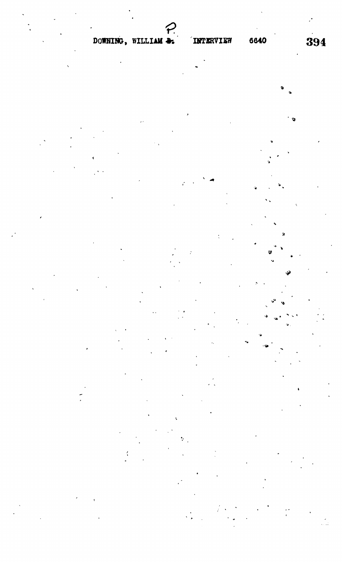# DOWNING, WILLIAM &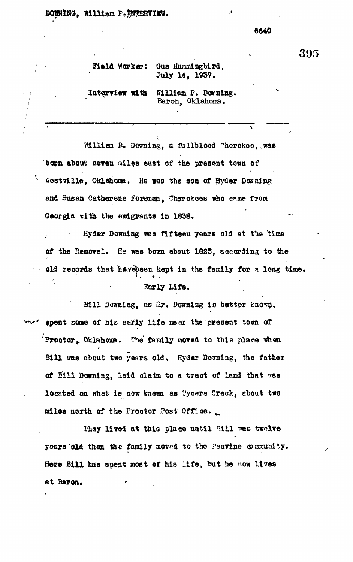#### DOWNING, William P. INTERVIEW.

L

#### 6640

#### Gus Hummingbird, Meld Worker: July 14, 1937.

Interview with William P. Downing. Baron, Oklahoma.

William P. Dewning, a fullblood "herokee, was born about seven miles east of the present tewn of Westville, Oklahoma. He was the son of Hyder Downing and Susan Catherene Foreman, Cherokees who came from Georgia with the emigrants in 1838.

Hyder Downing was fifteen years old at the time of the Removal. He was born about 1823, according to the old records that havepeen kept in the family for a long time. Early Life.

Bill Downing, as Mr. Downing is better known, we spent some of his early life mear the present town of Proctor, Oklahoma. The family moved to this place when Bill was about two years old. Hyder Downing, the father of Eill Downing, laid claim to a tract of land that was located on what is now known as Tyners Creek, about two miles north of the Proctor Post Office.

They lived at this place until Fill was twolve years old then the family moved to the Peavine community. Here Bill has spent most of his life, but he now lives at Baron.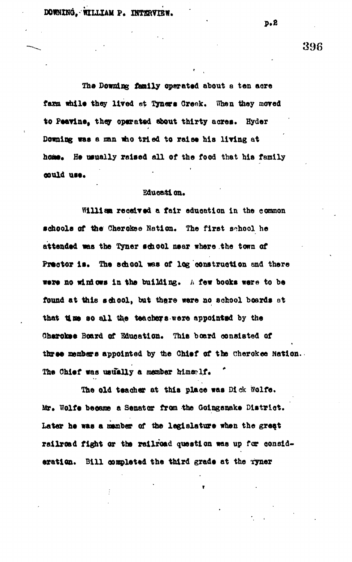DOWNING. WILLIAM P. INTERVIEW.

The Downing family operated about a ten acre farm while they lived at Tyners Creek. When they moved **to Peavlne, they operated about thirty acres. Hyder Downing was a nan who tried to raise his living at** home. He usually raised all of the food that his family **OOttld ttll.**

#### **Education.**

**Wllllaa reeelred a fair education In the common •choola of the Cherokee Nation. The first school he attended was the Tyner school near where the town of** Prector is. The school was of log construction and there were no windows in the building. A few books were to be **found at this school, but there were no school boards ot** that **u me** so all the teachers were appointed by the **Cherokee Board of Education. This board consisted of** three members appointed by the Chief of the Cherokee Nation. The Chief was usually a member himself.

**The old teacher at this place was Dick Wolfe.** Mr. Wolfe became a Senator from the Goingsnake District. **Later he was a member of the legislature when the great railroad fight or the railroad question was up for consid**eration. Bill completed the third grade at the Tyner

**p . 2**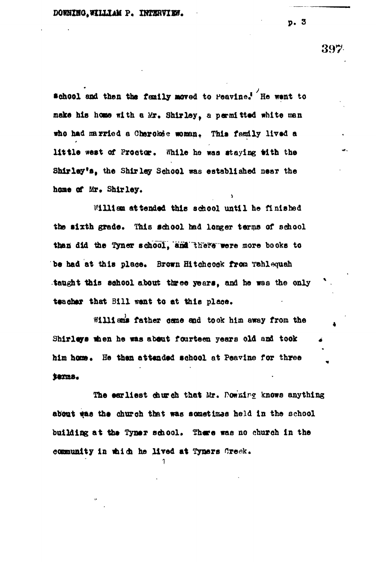$\text{#chool}$  and then the family moved to Peavine.<sup>?</sup> He went to **main his hone with a Mr. Shirley, a permitted white men** who had married a Cherokee woman. This family lived a little west of Proctor. While he was staying with the **Shirley's, the Shirley School was established near the home of Mr. Shirley.**

**Williaa attended this sohool until he finished** the sixth grade. This school had longer terms of school **than did the Tyner school, anl'"there were more books to** be had at this place. Brown Hitchcock from Tahlequah **taught this sohool about three years, and he was the only teacher that Bill vent to at tills plaoe,**

**Williams father case and took him away from the Shir leys when he was about fourteen years old and took** him home. He than attended school at Peavine for three **Serma.** 

The earliest church that Mr. Pow*xing* knows anything about was the church that was sometimes held in the school building at the Tyner school. There was no church in the community in which he lived at Tyners Oreck.

**1**

**p . 3**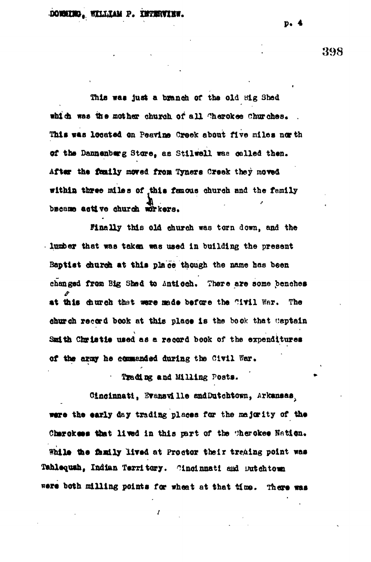This was just a branch of the old Hig Shed which was the mother church of all Cherokee Churches. This was located on Peavine Creek about five miles nor th **of the Danaanborg Stare, as StllweU was celled than.** After the family moved from Tyners Creek they moved within three miles of this famous church and the family bscame active church workers.

**Finally this old church was torn down, and the lumber that waa taken was used In building the present** Baptist church at this place though the name has been changed from Big Shad to Anticch. There are some benches **at this church that were nede before the ^ltil War. The ehureh record book at this place is the book that captain** Smith Christie used as a record book of the expenditures **of the aray ha QCaaandad during the Civil War.**

## **Tradirg and Milling Posts.**

**Cincinnati, Srassvilla endDutohtomi, Arkansas^ ware the early day trading places for the majority of the** Cherokees that lived in this part of the "herokee Nation. While the family lived at Proctor their treaing point was **Tahlequah, Indian Territory. Cincinnati asti imtehtown wars both milling points for wheat at that time. There was**

**p. 4**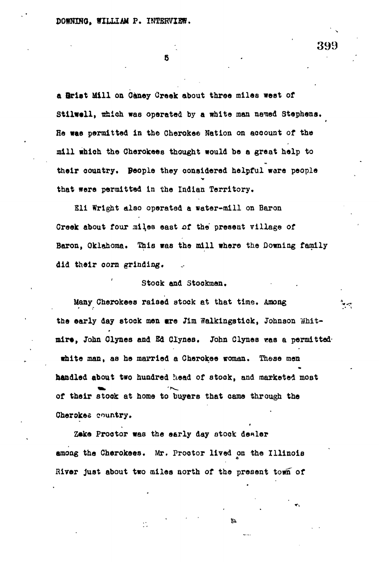**5 -**

**a ftriet Mill on Oaney Creak about throe miles west of** Stilwell, which was operated by a white man named Stephens. **He wae permitted in the Cherokee Nation on account of the mill which the Cherokees thought would be a great help to their country. People they considered helpful ware people that were permitted in the Indian Territory.**

**Eli Wright alao operated a water-mill on Baron** Creek about four miles east of the present village of Baron, Oklahoma. This was the mill where the Downing family **did their oorn grinding.**

### **Stock and Stockmen.**

Many Cherokees raised stock at that time. Among the early day stock men are Jim Walkingstick, Johnson Whit**mirt, John Clynes and Ed Clynes. John Clynes was a permitted' white man, as he married a Cherokee woman. These men handled about two hundred head of stock, and marketed most of their stook at home to buyers that came through the** Cherokes country.

**Zeke Proctor was the early day stock denier among the Cherokees. Mr. Prootor lived on the Illinois Hirer just about two miles north of the present town of**

Ò,

钤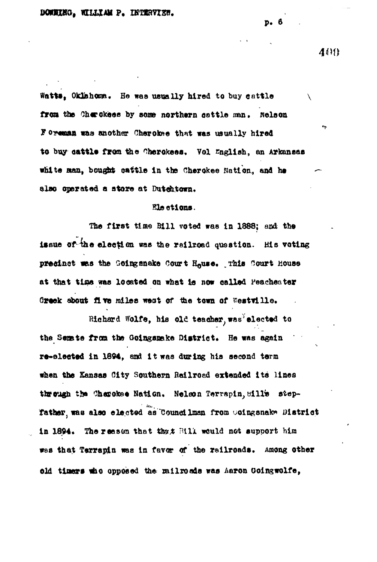Watts, Oklahoma. He was usually hired to buy cattle from the Cherckees by some northern cattle man. Nelson Foreman was another Cherokee that was usually hired to buy cattle from the Cherokees. Vol English, an Arkansas white man, bought cattle in the Cherokee Nation, and he also operated a store at Dutchtown.

#### Elections.

The first time Bill voted was in 1888; and the issue of the election was the railroad question. His veting presinct was the Goingsnake Court House. This Court House at that time was located on what is now called Peacheater Greek about five miles west of the town of Westville.

Richard Wolfe, his old teacher, was elected to the Semate from the Goingsmake District. He was again re-slected in 1894, and it was during his second term when the Kansas City Southern Railroad extended its lines through the Charokee Nation. Nelson Terrapin, Sill's step-Tather, was also elected as Councilman from Coingsnake District in 1894. The reason that that Bill would not support him was that Terrapin was in favor of the railroads. Among other old timers who opposed the milroads was haron Goingwolfe,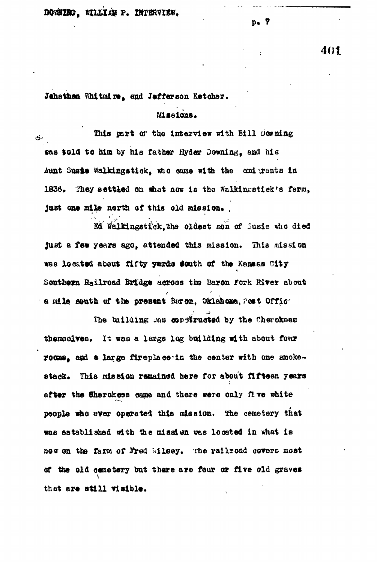$p<sub>o</sub>$  7

401

Jehathan Whitmire, and Jefferson Ketcher.

Missions.

This part of the intervier with Bill Downing مكا was told to him by his father Hyder Downing, and his Aunt Suste Walkingstick, who came with the emigrants in 1836. They settled on what now is the Walkingstick's farm, just one mile north of this old mission.

Ed Walkingstick.the oldest sen of Susie who died just a few years ago, attended this mission. This mission was located about fifty yards south of the Kammas City Southern Railroad Bridge across the Baron Fork River about a mile south of the present Baren, Oklahoma, Post Offic

The building was constructed by the Cherokees themselves. It was a large log building with about four rocms, and a large fireplace in the center with one smokestack. This mission remained here for about fifteen years after the Sherokees came and there were only five white people who ever operated this mission. The cemetery that was established with the mission was located in what is now on the farm of Fred Milsey. The railroad covers most of the old cametery but there are four or five old graves that are still visible.